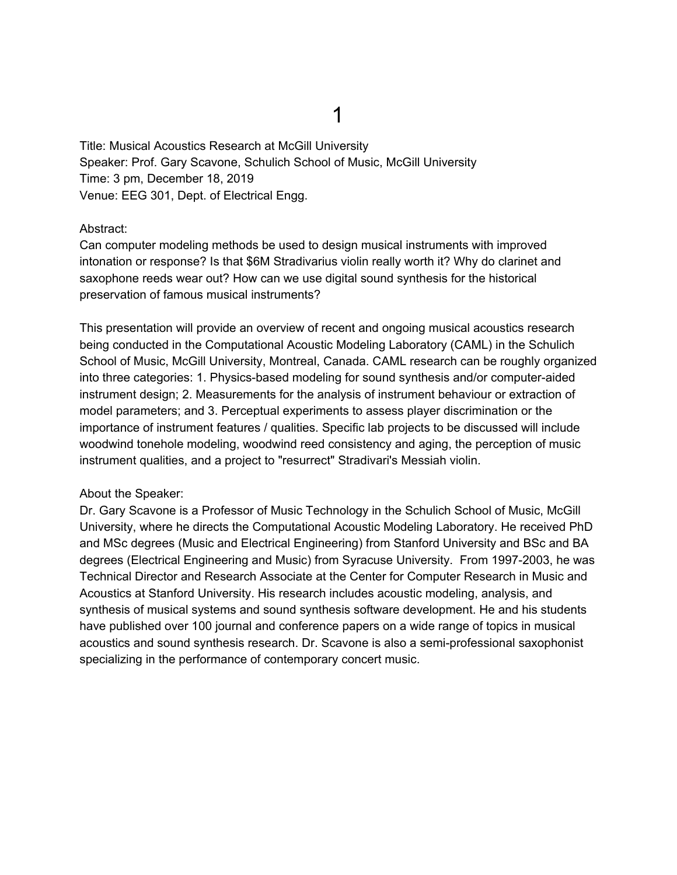## 1

Title: Musical Acoustics Research at McGill University Speaker: Prof. Gary Scavone, Schulich School of Music, McGill University Time: 3 pm, December 18, 2019 Venue: EEG 301, Dept. of Electrical Engg.

## Abstract:

Can computer modeling methods be used to design musical instruments with improved intonation or response? Is that \$6M Stradivarius violin really worth it? Why do clarinet and saxophone reeds wear out? How can we use digital sound synthesis for the historical preservation of famous musical instruments?

This presentation will provide an overview of recent and ongoing musical acoustics research being conducted in the Computational Acoustic Modeling Laboratory (CAML) in the Schulich School of Music, McGill University, Montreal, Canada. CAML research can be roughly organized into three categories: 1. Physics-based modeling for sound synthesis and/or computer-aided instrument design; 2. Measurements for the analysis of instrument behaviour or extraction of model parameters; and 3. Perceptual experiments to assess player discrimination or the importance of instrument features / qualities. Specific lab projects to be discussed will include woodwind tonehole modeling, woodwind reed consistency and aging, the perception of music instrument qualities, and a project to "resurrect" Stradivari's Messiah violin.

## About the Speaker:

Dr. Gary Scavone is a Professor of Music Technology in the Schulich School of Music, McGill University, where he directs the Computational Acoustic Modeling Laboratory. He received PhD and MSc degrees (Music and Electrical Engineering) from Stanford University and BSc and BA degrees (Electrical Engineering and Music) from Syracuse University. From 1997-2003, he was Technical Director and Research Associate at the Center for Computer Research in Music and Acoustics at Stanford University. His research includes acoustic modeling, analysis, and synthesis of musical systems and sound synthesis software development. He and his students have published over 100 journal and conference papers on a wide range of topics in musical acoustics and sound synthesis research. Dr. Scavone is also a semi-professional saxophonist specializing in the performance of contemporary concert music.